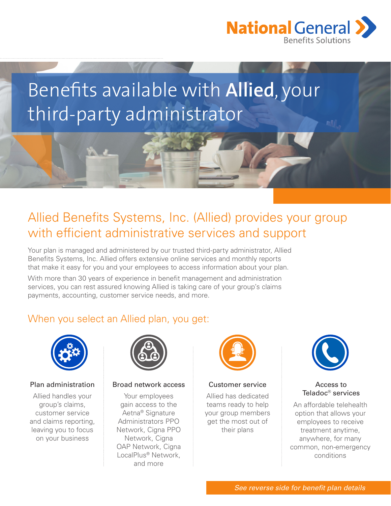

# Benefits available with **Allied**, your third-party administrator

# Allied Benefits Systems, Inc. (Allied) provides your group with efficient administrative services and support

Your plan is managed and administered by our trusted third-party administrator, Allied Benefits Systems, Inc. Allied offers extensive online services and monthly reports that make it easy for you and your employees to access information about your plan.

With more than 30 years of experience in benefit management and administration services, you can rest assured knowing Allied is taking care of your group's claims payments, accounting, customer service needs, and more.

## When you select an Allied plan, you get:



Allied handles your group's claims, customer service and claims reporting, leaving you to focus on your business



### Plan administration Broad network access Customer service

Your employees gain access to the Aetna® Signature Administrators PPO Network, Cigna PPO Network, Cigna OAP Network, Cigna LocalPlus® Network, and more



Allied has dedicated teams ready to help your group members get the most out of their plans



### Access to Teladoc® services

An affordable telehealth option that allows your employees to receive treatment anytime, anywhere, for many common, non-emergency conditions